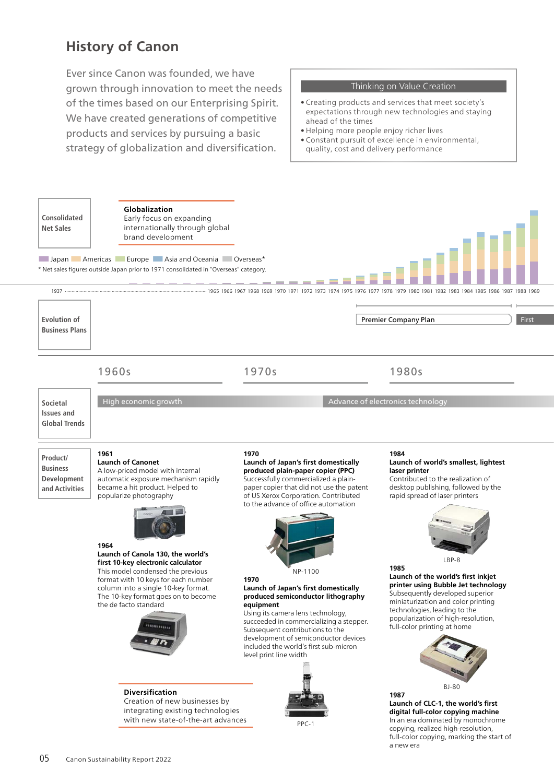## **History of Canon**

Ever since Canon was founded, we have grown through innovation to meet the needs of the times based on our Enterprising Spirit. We have created generations of competitive products and services by pursuing a basic strategy of globalization and diversification.

## Thinking on Value Creation

- Creating products and services that meet society's expectations through new technologies and staying ahead of the times
- Helping more people enjoy richer lives
- Constant pursuit of excellence in environmental, quality, cost and delivery performance